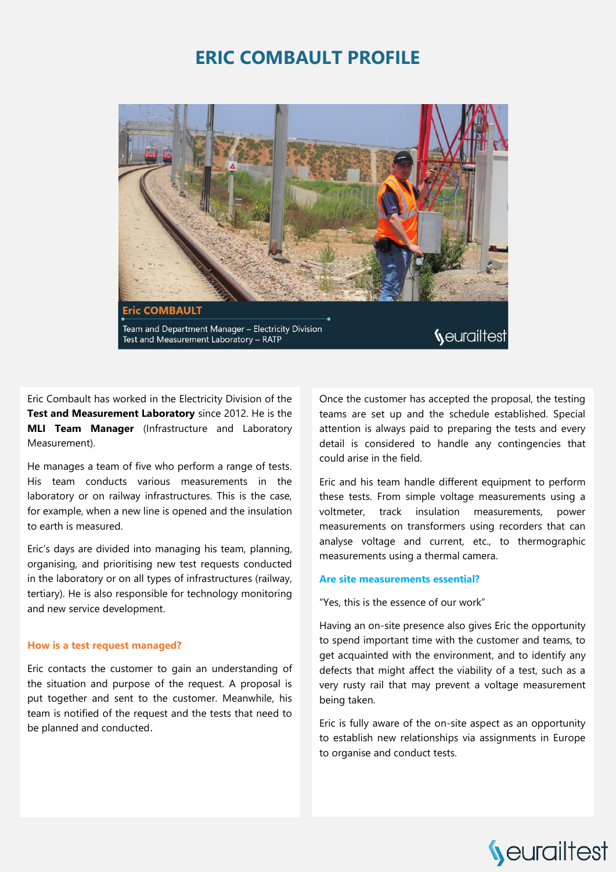## **ERIC COMBAULT PROFILE**



Eric Combault has worked in the Electricity Division of the **Test and Measurement Laboratory** since 2012. He is the **MLI Team Manager** (Infrastructure and Laboratory Measurement).

He manages a team of five who perform a range of tests. His team conducts various measurements in the laboratory or on railway infrastructures. This is the case, for example, when a new line is opened and the insulation to earth is measured.

Eric's days are divided into managing his team, planning, organising, and prioritising new test requests conducted in the laboratory or on all types of infrastructures (railway, tertiary). He is also responsible for technology monitoring and new service development.

#### **How is a test request managed?**

Eric contacts the customer to gain an understanding of the situation and purpose of the request. A proposal is put together and sent to the customer. Meanwhile, his team is notified of the request and the tests that need to be planned and conducted.

Once the customer has accepted the proposal, the testing teams are set up and the schedule established. Special attention is always paid to preparing the tests and every detail is considered to handle any contingencies that could arise in the field.

Eric and his team handle different equipment to perform these tests. From simple voltage measurements using a voltmeter, track insulation measurements, power measurements on transformers using recorders that can analyse voltage and current, etc., to thermographic measurements using a thermal camera.

#### **Are site measurements essential?**

"Yes, this is the essence of our work"

Having an on-site presence also gives Eric the opportunity to spend important time with the customer and teams, to get acquainted with the environment, and to identify any defects that might affect the viability of a test, such as a very rusty rail that may prevent a voltage measurement being taken.

Eric is fully aware of the on-site aspect as an opportunity to establish new relationships via assignments in Europe to organise and conduct tests.